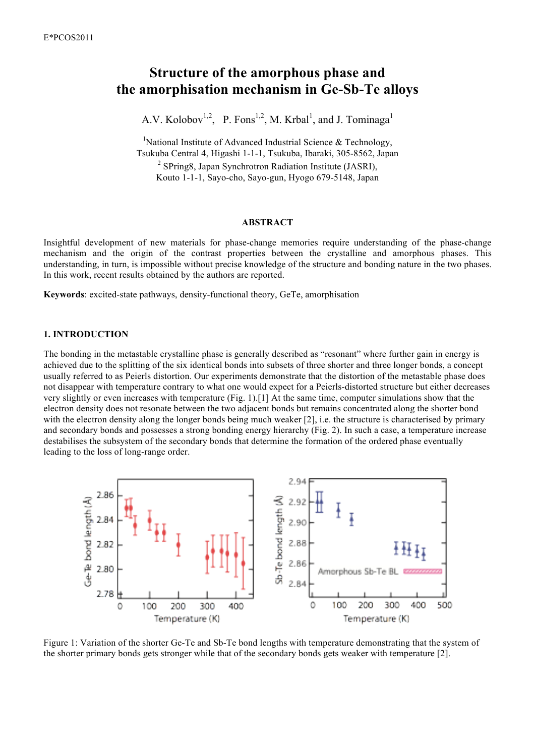# **Structure of the amorphous phase and the amorphisation mechanism in Ge-Sb-Te alloys**

A.V. Kolobov<sup>1,2</sup>, P. Fons<sup>1,2</sup>, M. Krbal<sup>1</sup>, and J. Tominaga<sup>1</sup>

<sup>1</sup>National Institute of Advanced Industrial Science & Technology, Tsukuba Central 4, Higashi 1-1-1, Tsukuba, Ibaraki, 305-8562, Japan <sup>2</sup> SPring8, Japan Synchrotron Radiation Institute (JASRI), Kouto 1-1-1, Sayo-cho, Sayo-gun, Hyogo 679-5148, Japan

#### **ABSTRACT**

Insightful development of new materials for phase-change memories require understanding of the phase-change mechanism and the origin of the contrast properties between the crystalline and amorphous phases. This understanding, in turn, is impossible without precise knowledge of the structure and bonding nature in the two phases. In this work, recent results obtained by the authors are reported.

**Keywords**: excited-state pathways, density-functional theory, GeTe, amorphisation

## **1. INTRODUCTION**

The bonding in the metastable crystalline phase is generally described as "resonant" where further gain in energy is achieved due to the splitting of the six identical bonds into subsets of three shorter and three longer bonds, a concept usually referred to as Peierls distortion. Our experiments demonstrate that the distortion of the metastable phase does not disappear with temperature contrary to what one would expect for a Peierls-distorted structure but either decreases very slightly or even increases with temperature (Fig. 1).[1] At the same time, computer simulations show that the electron density does not resonate between the two adjacent bonds but remains concentrated along the shorter bond with the electron density along the longer bonds being much weaker [2], i.e. the structure is characterised by primary and secondary bonds and possesses a strong bonding energy hierarchy (Fig. 2). In such a case, a temperature increase destabilises the subsystem of the secondary bonds that determine the formation of the ordered phase eventually leading to the loss of long-range order.



Figure 1: Variation of the shorter Ge-Te and Sb-Te bond lengths with temperature demonstrating that the system of the shorter primary bonds gets stronger while that of the secondary bonds gets weaker with temperature [2].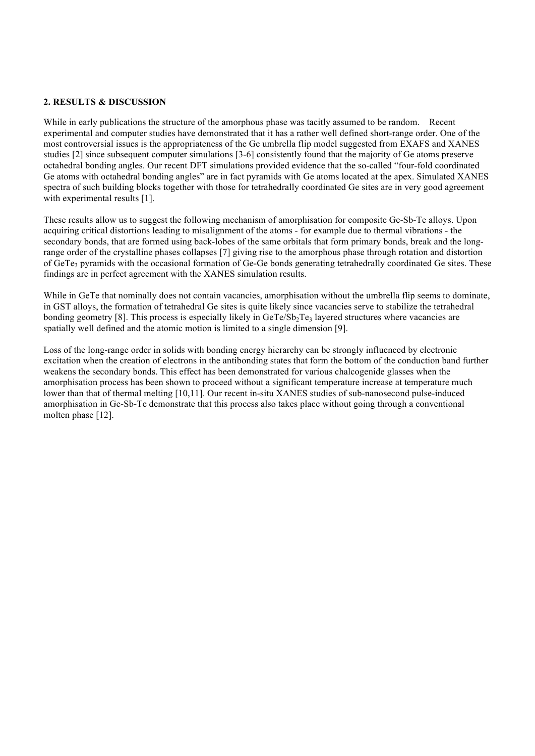# **2. RESULTS & DISCUSSION**

While in early publications the structure of the amorphous phase was tacitly assumed to be random. Recent experimental and computer studies have demonstrated that it has a rather well defined short-range order. One of the most controversial issues is the appropriateness of the Ge umbrella flip model suggested from EXAFS and XANES studies [2] since subsequent computer simulations [3-6] consistently found that the majority of Ge atoms preserve octahedral bonding angles. Our recent DFT simulations provided evidence that the so-called "four-fold coordinated Ge atoms with octahedral bonding angles" are in fact pyramids with Ge atoms located at the apex. Simulated XANES spectra of such building blocks together with those for tetrahedrally coordinated Ge sites are in very good agreement with experimental results [1].

These results allow us to suggest the following mechanism of amorphisation for composite Ge-Sb-Te alloys. Upon acquiring critical distortions leading to misalignment of the atoms - for example due to thermal vibrations - the secondary bonds, that are formed using back-lobes of the same orbitals that form primary bonds, break and the longrange order of the crystalline phases collapses [7] giving rise to the amorphous phase through rotation and distortion of GeTe<sub>3</sub> pyramids with the occasional formation of Ge-Ge bonds generating tetrahedrally coordinated Ge sites. These findings are in perfect agreement with the XANES simulation results.

While in GeTe that nominally does not contain vacancies, amorphisation without the umbrella flip seems to dominate, in GST alloys, the formation of tetrahedral Ge sites is quite likely since vacancies serve to stabilize the tetrahedral bonding geometry [8]. This process is especially likely in  $GeTe/Sp<sub>2</sub>Te<sub>3</sub>$  layered structures where vacancies are spatially well defined and the atomic motion is limited to a single dimension [9].

Loss of the long-range order in solids with bonding energy hierarchy can be strongly influenced by electronic excitation when the creation of electrons in the antibonding states that form the bottom of the conduction band further weakens the secondary bonds. This effect has been demonstrated for various chalcogenide glasses when the amorphisation process has been shown to proceed without a significant temperature increase at temperature much lower than that of thermal melting [10,11]. Our recent in-situ XANES studies of sub-nanosecond pulse-induced amorphisation in Ge-Sb-Te demonstrate that this process also takes place without going through a conventional molten phase [12].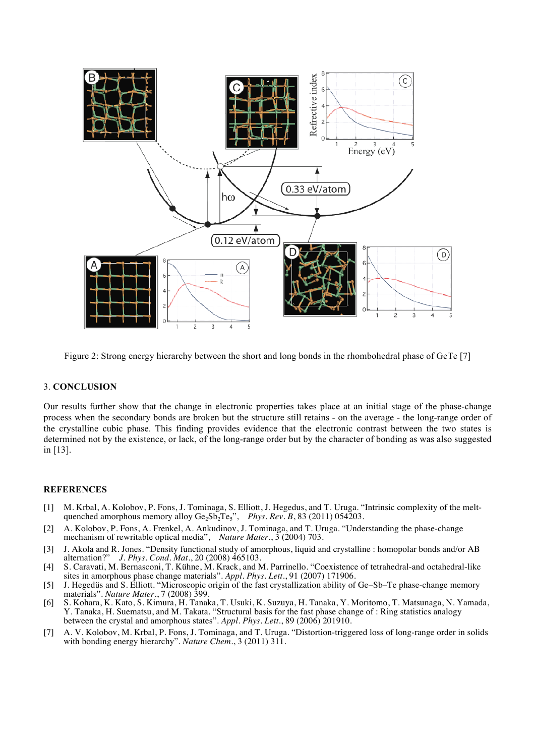

Figure 2: Strong energy hierarchy between the short and long bonds in the rhombohedral phase of GeTe [7]

## 3. **CONCLUSION**

Our results further show that the change in electronic properties takes place at an initial stage of the phase-change process when the secondary bonds are broken but the structure still retains - on the average - the long-range order of the crystalline cubic phase. This finding provides evidence that the electronic contrast between the two states is determined not by the existence, or lack, of the long-range order but by the character of bonding as was also suggested in [13].

# **REFERENCES**

- [1] M. Krbal, A. Kolobov, P. Fons, J. Tominaga, S. Elliott, J. Hegedus, and T. Uruga. "Intrinsic complexity of the meltquenched amorphous memory alloy  $Ge_2Sb_2Te_5$ ", *Phys. Rev. B*, 83 (2011) 054203.
- [2] A. Kolobov, P. Fons, A. Frenkel, A. Ankudinov, J. Tominaga, and T. Uruga. "Understanding the phase-change mechanism of rewritable optical media", *Nature Mater.*,  $\frac{3}{2}$  (2004) 703.
- [3] J. Akola and R. Jones. "Density functional study of amorphous, liquid and crystalline : homopolar bonds and/or AB alternation?" *J. Phys. Cond. Mat.*, 20 (2008) 465103.
- [4] S. Caravati, M. Bernasconi, T. Kühne, M. Krack, and M. Parrinello. "Coexistence of tetrahedral-and octahedral-like sites in amorphous phase change materials". *Appl. Phys. Lett.*, 91 (2007) 171906.
- [5] J. Hegedüs and S. Elliott. "Microscopic origin of the fast crystallization ability of Ge–Sb–Te phase-change memory materials". *Nature Mater.*, 7 (2008) 399.
- [6] S. Kohara, K. Kato, S. Kimura, H. Tanaka, T. Usuki, K. Suzuya, H. Tanaka, Y. Moritomo, T. Matsunaga, N. Yamada, Y. Tanaka, H. Suematsu, and M. Takata. "Structural basis for the fast phase change of : Ring statistics analogy between the crystal and amorphous states". *Appl. Phys. Lett.*, 89 (2006) 201910.
- [7] A. V. Kolobov, M. Krbal, P. Fons, J. Tominaga, and T. Uruga. "Distortion-triggered loss of long-range order in solids with bonding energy hierarchy". *Nature Chem.*, 3 (2011) 311.